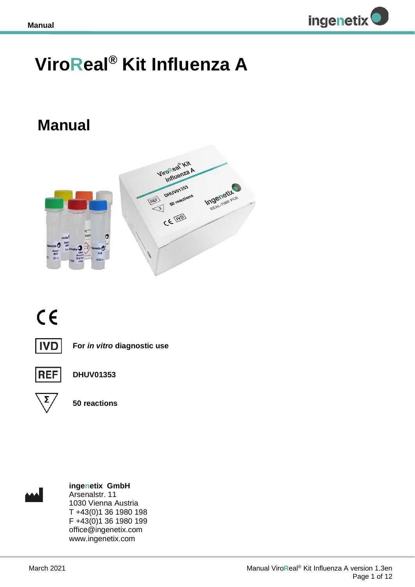

## **ViroReal® Kit Influenza A**

## **Manual**



# $C \in$



**For** *in vitro* **diagnostic use**



**DHUV01353**



**50 reactions**



**ingenetix GmbH** Arsenalstr. 11 1030 Vienna Austria T +43(0)1 36 1980 198 F +43(0)1 36 1980 199 office@ingenetix.com www.ingenetix.com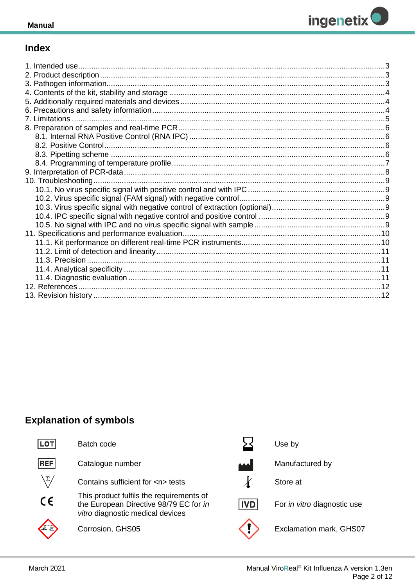

## **Index**

## **Explanation of symbols**

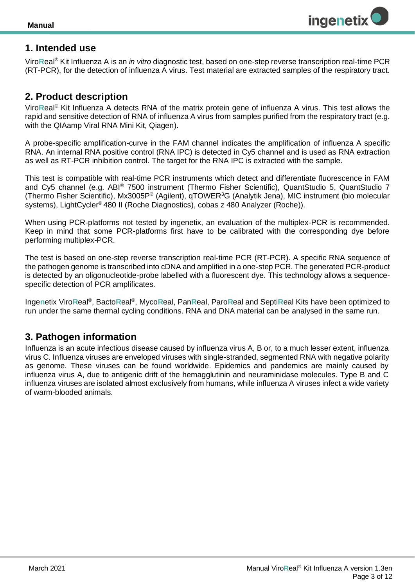

## <span id="page-2-0"></span>**1. Intended use**

Viro**R**eal® Kit Influenza A is an *in vitro* diagnostic test, based on one-step reverse transcription real-time PCR (RT-PCR), for the detection of influenza A virus. Test material are extracted samples of the respiratory tract.

### <span id="page-2-1"></span>**2. Product description**

Viro**R**eal® Kit Influenza A detects RNA of the matrix protein gene of influenza A virus*.* This test allows the rapid and sensitive detection of RNA of influenza A virus from samples purified from the respiratory tract (e.g. with the QIAamp Viral RNA Mini Kit, Qiagen).

A probe-specific amplification-curve in the FAM channel indicates the amplification of influenza A specific RNA. An internal RNA positive control (RNA IPC) is detected in Cy5 channel and is used as RNA extraction as well as RT-PCR inhibition control. The target for the RNA IPC is extracted with the sample.

This test is compatible with real-time PCR instruments which detect and differentiate fluorescence in FAM and Cy5 channel (e.g. ABI® 7500 instrument (Thermo Fisher Scientific), QuantStudio 5, QuantStudio 7 (Thermo Fisher Scientific), Mx3005P® (Agilent), qTOWER<sup>3</sup>G (Analytik Jena), MIC instrument (bio molecular systems), LightCycler® 480 II (Roche Diagnostics), cobas z 480 Analyzer (Roche)).

When using PCR-platforms not tested by ingenetix, an evaluation of the multiplex-PCR is recommended. Keep in mind that some PCR-platforms first have to be calibrated with the corresponding dye before performing multiplex-PCR.

The test is based on one-step reverse transcription real-time PCR (RT-PCR). A specific RNA sequence of the pathogen genome is transcribed into cDNA and amplified in a one-step PCR. The generated PCR-product is detected by an oligonucleotide-probe labelled with a fluorescent dye. This technology allows a sequencespecific detection of PCR amplificates.

Ingenetix ViroReal®, BactoReal®, MycoReal, PanReal, ParoReal and SeptiReal Kits have been optimized to run under the same thermal cycling conditions. RNA and DNA material can be analysed in the same run.

## <span id="page-2-2"></span>**3. Pathogen information**

Influenza is an acute infectious disease caused by influenza virus A, B or, to a much lesser extent, influenza virus C. Influenza viruses are enveloped viruses with single-stranded, segmented RNA with negative polarity as genome. These viruses can be found worldwide. Epidemics and pandemics are mainly caused by influenza virus A, due to antigenic drift of the hemagglutinin and neuraminidase molecules. Type B and C influenza viruses are isolated almost exclusively from humans, while influenza A viruses infect a wide variety of warm-blooded animals.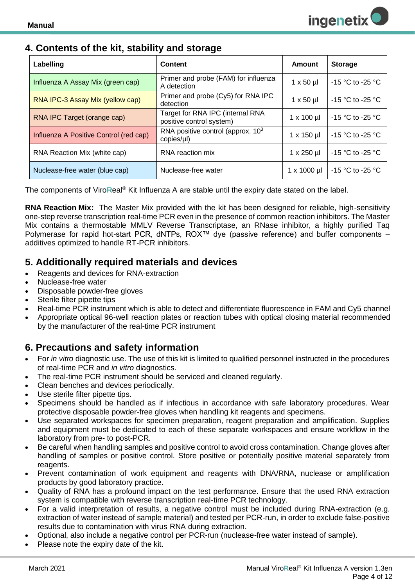## <span id="page-3-0"></span>**4. Contents of the kit, stability and storage**

| Labelling                              | Content                                                      | Amount              | <b>Storage</b>     |
|----------------------------------------|--------------------------------------------------------------|---------------------|--------------------|
| Influenza A Assay Mix (green cap)      | Primer and probe (FAM) for influenza<br>A detection          | $1 \times 50 \mu$   | $-15$ °C to -25 °C |
| RNA IPC-3 Assay Mix (yellow cap)       | Primer and probe (Cy5) for RNA IPC<br>detection              | $1 \times 50$ µl    | $-15$ °C to -25 °C |
| RNA IPC Target (orange cap)            | Target for RNA IPC (internal RNA<br>positive control system) | $1 \times 100$ µl   | $-15$ °C to -25 °C |
| Influenza A Positive Control (red cap) | RNA positive control (approx. $103$<br>copies/µl)            | $1 \times 150$ µl   | $-15$ °C to -25 °C |
| RNA Reaction Mix (white cap)           | RNA reaction mix                                             | $1 \times 250$ µl   | $-15$ °C to -25 °C |
| Nuclease-free water (blue cap)         | Nuclease-free water                                          | $1 \times 1000 \mu$ | -15 °C to -25 °C   |

The components of Viro**R**eal® Kit Influenza A are stable until the expiry date stated on the label.

**RNA Reaction Mix:** The Master Mix provided with the kit has been designed for reliable, high-sensitivity one-step reverse transcription real-time PCR even in the presence of common reaction inhibitors. The Master Mix contains a thermostable MMLV Reverse Transcriptase, an RNase inhibitor, a highly purified Taq Polymerase for rapid hot-start PCR, dNTPs, ROX™ dye (passive reference) and buffer components – additives optimized to handle RT-PCR inhibitors.

## <span id="page-3-1"></span>**5. Additionally required materials and devices**

- Reagents and devices for RNA-extraction
- Nuclease-free water
- Disposable powder-free gloves
- Sterile filter pipette tips
- Real-time PCR instrument which is able to detect and differentiate fluorescence in FAM and Cy5 channel
- Appropriate optical 96-well reaction plates or reaction tubes with optical closing material recommended by the manufacturer of the real-time PCR instrument

## <span id="page-3-2"></span>**6. Precautions and safety information**

- For *in vitro* diagnostic use. The use of this kit is limited to qualified personnel instructed in the procedures of real-time PCR and *in vitro* diagnostics.
- The real-time PCR instrument should be serviced and cleaned regularly.
- Clean benches and devices periodically.
- Use sterile filter pipette tips.
- Specimens should be handled as if infectious in accordance with safe laboratory procedures. Wear protective disposable powder-free gloves when handling kit reagents and specimens.
- Use separated workspaces for specimen preparation, reagent preparation and amplification. Supplies and equipment must be dedicated to each of these separate workspaces and ensure workflow in the laboratory from pre- to post-PCR.
- Be careful when handling samples and positive control to avoid cross contamination. Change gloves after handling of samples or positive control. Store positive or potentially positive material separately from reagents.
- Prevent contamination of work equipment and reagents with DNA/RNA, nuclease or amplification products by good laboratory practice.
- Quality of RNA has a profound impact on the test performance. Ensure that the used RNA extraction system is compatible with reverse transcription real-time PCR technology.
- For a valid interpretation of results, a negative control must be included during RNA-extraction (e.g. extraction of water instead of sample material) and tested per PCR-run, in order to exclude false-positive results due to contamination with virus RNA during extraction.
- Optional, also include a negative control per PCR-run (nuclease-free water instead of sample).
- Please note the expiry date of the kit.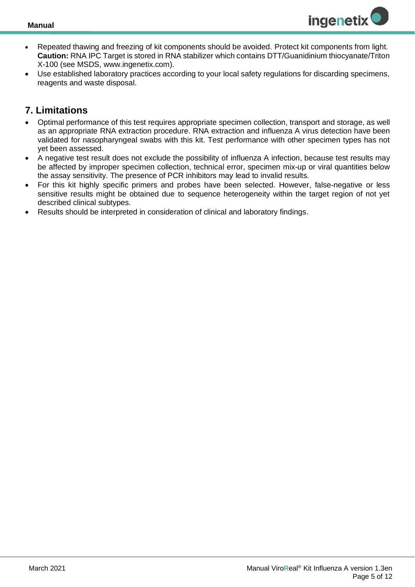

- Repeated thawing and freezing of kit components should be avoided. Protect kit components from light. **Caution:** RNA IPC Target is stored in RNA stabilizer which contains DTT/Guanidinium thiocyanate/Triton X-100 (see MSDS, www.ingenetix.com).
- Use established laboratory practices according to your local safety regulations for discarding specimens, reagents and waste disposal.

## <span id="page-4-0"></span>**7. Limitations**

- Optimal performance of this test requires appropriate specimen collection, transport and storage, as well as an appropriate RNA extraction procedure. RNA extraction and influenza A virus detection have been validated for nasopharyngeal swabs with this kit. Test performance with other specimen types has not yet been assessed.
- A negative test result does not exclude the possibility of influenza A infection, because test results may be affected by improper specimen collection, technical error, specimen mix-up or viral quantities below the assay sensitivity. The presence of PCR inhibitors may lead to invalid results.
- For this kit highly specific primers and probes have been selected. However, false-negative or less sensitive results might be obtained due to sequence heterogeneity within the target region of not yet described clinical subtypes.
- Results should be interpreted in consideration of clinical and laboratory findings.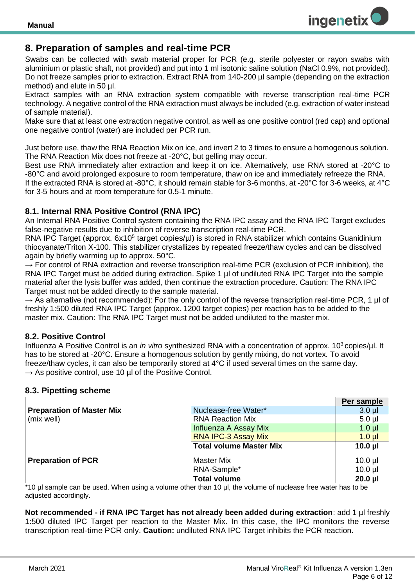

## <span id="page-5-0"></span>**8. Preparation of samples and real-time PCR**

Swabs can be collected with swab material proper for PCR (e.g. sterile polyester or rayon swabs with aluminium or plastic shaft, not provided) and put into 1 ml isotonic saline solution (NaCl 0.9%, not provided). Do not freeze samples prior to extraction. Extract RNA from 140-200 µl sample (depending on the extraction method) and elute in 50 ul.

Extract samples with an RNA extraction system compatible with reverse transcription real-time PCR technology. A negative control of the RNA extraction must always be included (e.g. extraction of water instead of sample material).

Make sure that at least one extraction negative control, as well as one positive control (red cap) and optional one negative control (water) are included per PCR run.

Just before use, thaw the RNA Reaction Mix on ice, and invert 2 to 3 times to ensure a homogenous solution. The RNA Reaction Mix does not freeze at -20°C, but gelling may occur.

Best use RNA immediately after extraction and keep it on ice. Alternatively, use RNA stored at -20°C to -80°C and avoid prolonged exposure to room temperature, thaw on ice and immediately refreeze the RNA. If the extracted RNA is stored at -80°C, it should remain stable for 3-6 months, at -20°C for 3-6 weeks, at 4°C for 3-5 hours and at room temperature for 0.5-1 minute.

#### <span id="page-5-1"></span>**8.1. Internal RNA Positive Control (RNA IPC)**

An Internal RNA Positive Control system containing the RNA IPC assay and the RNA IPC Target excludes false-negative results due to inhibition of reverse transcription real-time PCR.

RNA IPC Target (approx. 6x10<sup>5</sup> target copies/µI) is stored in RNA stabilizer which contains Guanidinium thiocyanate/Triton X-100. This stabilizer crystallizes by repeated freeze/thaw cycles and can be dissolved again by briefly warming up to approx. 50°C.

 $\rightarrow$  For control of RNA extraction and reverse transcription real-time PCR (exclusion of PCR inhibition), the RNA IPC Target must be added during extraction. Spike 1 ul of undiluted RNA IPC Target into the sample material after the lysis buffer was added, then continue the extraction procedure. Caution: The RNA IPC Target must not be added directly to the sample material.

 $\rightarrow$  As alternative (not recommended): For the only control of the reverse transcription real-time PCR, 1 µl of freshly 1:500 diluted RNA IPC Target (approx. 1200 target copies) per reaction has to be added to the master mix. Caution: The RNA IPC Target must not be added undiluted to the master mix.

#### <span id="page-5-2"></span>**8.2. Positive Control**

Influenza A Positive Control is an *in vitro* synthesized RNA with a concentration of approx. 10<sup>3</sup> copies/µl. It has to be stored at -20°C. Ensure a homogenous solution by gently mixing, do not vortex. To avoid freeze/thaw cycles, it can also be temporarily stored at 4°C if used several times on the same day.  $\rightarrow$  As positive control, use 10 ul of the Positive Control.

#### <span id="page-5-3"></span>**8.3. Pipetting scheme**

|                                  |                                | Per sample   |
|----------------------------------|--------------------------------|--------------|
| <b>Preparation of Master Mix</b> | Nuclease-free Water*           | $3.0 \mu$    |
| (mix well)                       | <b>RNA Reaction Mix</b>        | $5.0$ µl     |
|                                  | Influenza A Assay Mix          | $1.0$ $\mu$  |
|                                  | <b>RNA IPC-3 Assay Mix</b>     | $1.0$ $\mu$  |
|                                  | <b>Total volume Master Mix</b> | $10.0$ $\mu$ |
|                                  |                                |              |
| <b>Preparation of PCR</b>        | <b>Master Mix</b>              | $10.0$ $\mu$ |
|                                  | RNA-Sample*                    | $10.0$ $\mu$ |
|                                  | <b>Total volume</b>            | $20.0$ $\mu$ |

\*10 µl sample can be used. When using a volume other than 10 µl, the volume of nuclease free water has to be adjusted accordingly.

**Not recommended - if RNA IPC Target has not already been added during extraction**: add 1 µl freshly 1:500 diluted IPC Target per reaction to the Master Mix. In this case, the IPC monitors the reverse transcription real-time PCR only. **Caution:** undiluted RNA IPC Target inhibits the PCR reaction.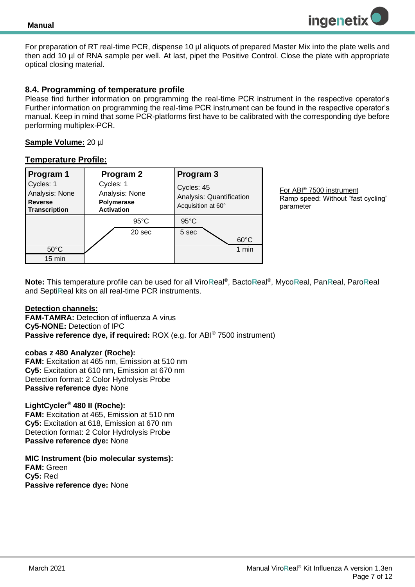

For preparation of RT real-time PCR, dispense 10 µl aliquots of prepared Master Mix into the plate wells and then add 10 µl of RNA sample per well. At last, pipet the Positive Control. Close the plate with appropriate optical closing material.

#### <span id="page-6-0"></span>**8.4. Programming of temperature profile**

Please find further information on programming the real-time PCR instrument in the respective operator's Further information on programming the real-time PCR instrument can be found in the respective operator's manual. Keep in mind that some PCR-platforms first have to be calibrated with the corresponding dye before performing multiplex-PCR.

#### **Sample Volume:** 20 µl

#### **Temperature Profile:**

| Program 1<br>Cycles: 1<br>Analysis: None<br><b>Reverse</b><br>Transcription | Program 2<br>Cycles: 1<br>Analysis: None<br>Polymerase<br><b>Activation</b> |                | Program 3<br>Cycles: 45<br>Acquisition at 60° | Analysis: Quantification |
|-----------------------------------------------------------------------------|-----------------------------------------------------------------------------|----------------|-----------------------------------------------|--------------------------|
|                                                                             |                                                                             | $95^{\circ}$ C | $95^{\circ}$ C                                |                          |
|                                                                             |                                                                             | 20 sec         | 5 sec                                         | $60^{\circ}$ C           |
| $50^{\circ}$ C                                                              |                                                                             |                |                                               | 1 min                    |
| 15 min                                                                      |                                                                             |                |                                               |                          |

For ABI® 7500 instrument Ramp speed: Without "fast cycling" parameter

**Note:** This temperature profile can be used for all Viro**R**eal® , Bacto**R**eal® , Myco**R**eal, Pan**R**eal, Paro**R**eal and Septi**R**eal kits on all real-time PCR instruments.

#### **Detection channels:**

**FAM-TAMRA:** Detection of influenza A virus **Cy5-NONE:** Detection of IPC **Passive reference dye, if required:** ROX (e.g. for ABI® 7500 instrument)

#### **cobas z 480 Analyzer (Roche):**

**FAM:** Excitation at 465 nm, Emission at 510 nm **Cy5:** Excitation at 610 nm, Emission at 670 nm Detection format: 2 Color Hydrolysis Probe **Passive reference dye:** None

#### **LightCycler® 480 II (Roche):**

**FAM:** Excitation at 465, Emission at 510 nm **Cy5:** Excitation at 618, Emission at 670 nm Detection format: 2 Color Hydrolysis Probe **Passive reference dye:** None

## **MIC Instrument (bio molecular systems):**

**FAM:** Green **Cy5:** Red **Passive reference dye:** None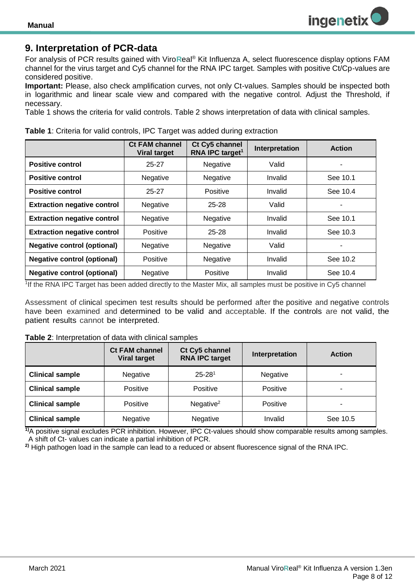

## <span id="page-7-0"></span>**9. Interpretation of PCR-data**

For analysis of PCR results gained with Viro**R**eal® Kit Influenza A, select fluorescence display options FAM channel for the virus target and Cy5 channel for the RNA IPC target. Samples with positive Ct/Cp-values are considered positive.

**Important:** Please, also check amplification curves, not only Ct-values. Samples should be inspected both in logarithmic and linear scale view and compared with the negative control. Adjust the Threshold, if necessary.

Table 1 shows the criteria for valid controls. Table 2 shows interpretation of data with clinical samples.

| Table 1: Criteria for valid controls, IPC Target was added during extraction |  |
|------------------------------------------------------------------------------|--|
|------------------------------------------------------------------------------|--|

|                                    | <b>Ct FAM channel</b><br><b>Viral target</b> | Ct Cy5 channel<br>RNA IPC target <sup>1</sup> | Interpretation | <b>Action</b> |
|------------------------------------|----------------------------------------------|-----------------------------------------------|----------------|---------------|
| <b>Positive control</b>            | $25 - 27$                                    | Negative                                      | Valid          | ۰             |
| <b>Positive control</b>            | Negative                                     | <b>Negative</b>                               | Invalid        | See 10.1      |
| <b>Positive control</b>            | $25 - 27$                                    | Positive                                      | Invalid        | See 10.4      |
| <b>Extraction negative control</b> | Negative                                     | $25 - 28$                                     | Valid          |               |
| <b>Extraction negative control</b> | Negative                                     | <b>Negative</b>                               | Invalid        | See 10.1      |
| <b>Extraction negative control</b> | Positive                                     | $25 - 28$                                     | Invalid        | See 10.3      |
| <b>Negative control (optional)</b> | Negative                                     | Negative                                      | Valid          |               |
| <b>Negative control (optional)</b> | Positive                                     | Negative                                      | Invalid        | See 10.2      |
| <b>Negative control (optional)</b> | Negative                                     | Positive                                      | Invalid        | See 10.4      |

1 If the RNA IPC Target has been added directly to the Master Mix, all samples must be positive in Cy5 channel

Assessment of clinical specimen test results should be performed after the positive and negative controls have been examined and determined to be valid and acceptable. If the controls are not valid, the patient results cannot be interpreted.

#### **Table 2**: Interpretation of data with clinical samples

|                        | <b>Ct FAM channel</b><br><b>Viral target</b> | Ct Cy5 channel<br><b>RNA IPC target</b> | Interpretation | <b>Action</b> |
|------------------------|----------------------------------------------|-----------------------------------------|----------------|---------------|
| <b>Clinical sample</b> | Negative                                     | $25 - 28$ <sup>1</sup>                  | Negative       | ۰.            |
| <b>Clinical sample</b> | Positive                                     | Positive                                | Positive       | ۰             |
| <b>Clinical sample</b> | Positive                                     | Negative $2$                            | Positive       | ۰             |
| <b>Clinical sample</b> | Negative                                     | Negative                                | Invalid        | See 10.5      |

**1)**A positive signal excludes PCR inhibition. However, IPC Ct-values should show comparable results among samples. A shift of Ct- values can indicate a partial inhibition of PCR.

**2)** High pathogen load in the sample can lead to a reduced or absent fluorescence signal of the RNA IPC.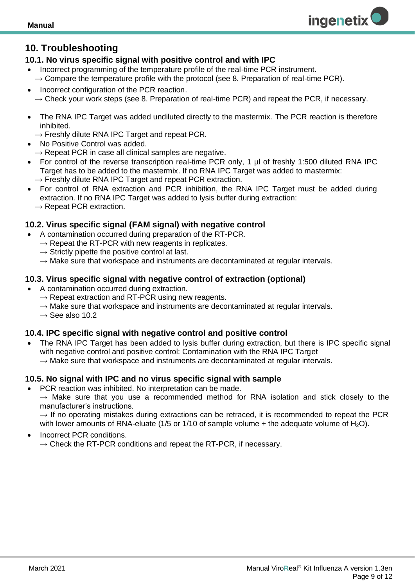## <span id="page-8-0"></span>**10. Troubleshooting**

#### <span id="page-8-1"></span>**10.1. No virus specific signal with positive control and with IPC**

- Incorrect programming of the temperature profile of the real-time PCR instrument.  $\rightarrow$  Compare the temperature profile with the protocol (see 8. Preparation of real-time PCR).
- Incorrect configuration of the PCR reaction.  $\rightarrow$  Check your work steps (see 8. Preparation of real-time PCR) and repeat the PCR, if necessary.
- The RNA IPC Target was added undiluted directly to the mastermix. The PCR reaction is therefore inhibited.
- $\rightarrow$  Freshly dilute RNA IPC Target and repeat PCR.
- No Positive Control was added.
	- $\rightarrow$  Repeat PCR in case all clinical samples are negative.
- For control of the reverse transcription real-time PCR only, 1 µl of freshly 1:500 diluted RNA IPC Target has to be added to the mastermix. If no RNA IPC Target was added to mastermix:
	- $\rightarrow$  Freshly dilute RNA IPC Target and repeat PCR extraction.
- For control of RNA extraction and PCR inhibition, the RNA IPC Target must be added during extraction. If no RNA IPC Target was added to lysis buffer during extraction:  $\rightarrow$  Repeat PCR extraction.

#### <span id="page-8-2"></span>**10.2. Virus specific signal (FAM signal) with negative control**

- A contamination occurred during preparation of the RT-PCR.
	- $\rightarrow$  Repeat the RT-PCR with new reagents in replicates.
	- $\rightarrow$  Strictly pipette the positive control at last.
	- $\rightarrow$  Make sure that workspace and instruments are decontaminated at regular intervals.

#### <span id="page-8-3"></span>**10.3. Virus specific signal with negative control of extraction (optional)**

- A contamination occurred during extraction.
	- $\rightarrow$  Repeat extraction and RT-PCR using new reagents.
	- $\rightarrow$  Make sure that workspace and instruments are decontaminated at regular intervals.
	- $\rightarrow$  See also 10.2

#### <span id="page-8-4"></span>**10.4. IPC specific signal with negative control and positive control**

The RNA IPC Target has been added to lysis buffer during extraction, but there is IPC specific signal with negative control and positive control: Contamination with the RNA IPC Target  $\rightarrow$  Make sure that workspace and instruments are decontaminated at regular intervals.

#### <span id="page-8-5"></span>**10.5. No signal with IPC and no virus specific signal with sample**

- PCR reaction was inhibited. No interpretation can be made.
	- $\rightarrow$  Make sure that you use a recommended method for RNA isolation and stick closely to the manufacturer's instructions.

 $\rightarrow$  If no operating mistakes during extractions can be retraced, it is recommended to repeat the PCR with lower amounts of RNA-eluate (1/5 or 1/10 of sample volume + the adequate volume of  $H_2O$ ).

• Incorrect PCR conditions.  $\rightarrow$  Check the RT-PCR conditions and repeat the RT-PCR, if necessary. **ingenetix**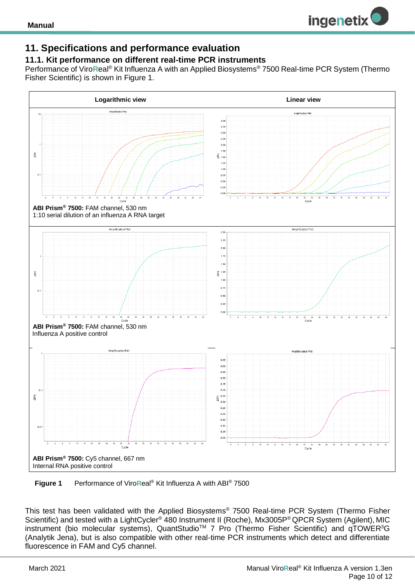

## <span id="page-9-0"></span>**11. Specifications and performance evaluation**

#### <span id="page-9-1"></span>**11.1. Kit performance on different real-time PCR instruments**

Performance of Viro**R**eal® Kit Influenza A with an Applied Biosystems® 7500 Real-time PCR System (Thermo Fisher Scientific) is shown in Figure 1.



 **Figure 1** Performance of Viro**R**eal® Kit Influenza A with ABI® 7500

This test has been validated with the Applied Biosystems® 7500 Real-time PCR System (Thermo Fisher Scientific) and tested with a LightCycler<sup>®</sup> 480 Instrument II (Roche), Mx3005P<sup>®</sup> QPCR System (Agilent), MIC instrument (bio molecular systems), QuantStudio<sup>™</sup> 7 Pro (Thermo Fisher Scientific) and qTOWER<sup>3</sup>G (Analytik Jena), but is also compatible with other real-time PCR instruments which detect and differentiate fluorescence in FAM and Cy5 channel.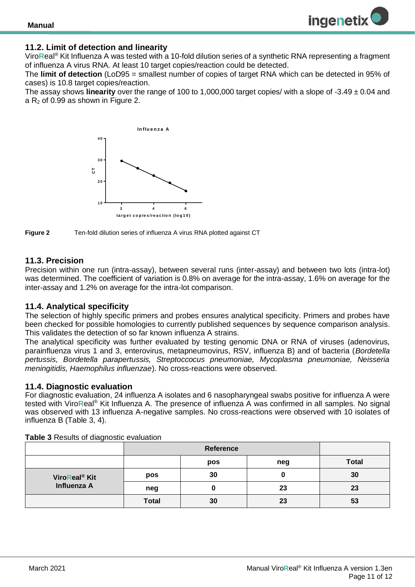#### <span id="page-10-0"></span>**11.2. Limit of detection and linearity**

Viro**R**eal® Kit Influenza A was tested with a 10-fold dilution series of a synthetic RNA representing a fragment of influenza A virus RNA. At least 10 target copies/reaction could be detected.

The **limit of detection** (LoD95 = smallest number of copies of target RNA which can be detected in 95% of cases) is 10.8 target copies/reaction.

The assay shows **linearity** over the range of 100 to 1,000,000 target copies/ with a slope of -3.49 ± 0.04 and a  $R_2$  of 0.99 as shown in Figure 2.





#### <span id="page-10-1"></span>**11.3. Precision**

Precision within one run (intra-assay), between several runs (inter-assay) and between two lots (intra-lot) was determined. The coefficient of variation is 0.8% on average for the intra-assay, 1.6% on average for the inter-assay and 1.2% on average for the intra-lot comparison.

#### <span id="page-10-2"></span>**11.4. Analytical specificity**

The selection of highly specific primers and probes ensures analytical specificity. Primers and probes have been checked for possible homologies to currently published sequences by sequence comparison analysis. This validates the detection of so far known influenza A strains.

The analytical specificity was further evaluated by testing genomic DNA or RNA of viruses (adenovirus, parainfluenza virus 1 and 3, enterovirus, metapneumovirus, RSV, influenza B) and of bacteria (*Bordetella pertussis, Bordetella parapertussis, Streptoccocus pneumoniae, Mycoplasma pneumoniae, Neisseria meningitidis, Haemophilus influenzae*). No cross-reactions were observed.

#### <span id="page-10-3"></span>**11.4. Diagnostic evaluation**

For diagnostic evaluation, 24 influenza A isolates and 6 nasopharyngeal swabs positive for influenza A were tested with Viro**R**eal® Kit Influenza A. The presence of influenza A was confirmed in all samples. No signal was observed with 13 influenza A-negative samples. No cross-reactions were observed with 10 isolates of influenza B (Table 3, 4).

|                           | Reference    |     |     |              |
|---------------------------|--------------|-----|-----|--------------|
|                           |              | pos | neg | <b>Total</b> |
| ViroReal <sup>®</sup> Kit | pos          | 30  |     | 30           |
| Influenza A               | neg          |     | 23  | 23           |
|                           | <b>Total</b> | 30  | 23  | 53           |

**Table 3** Results of diagnostic evaluation